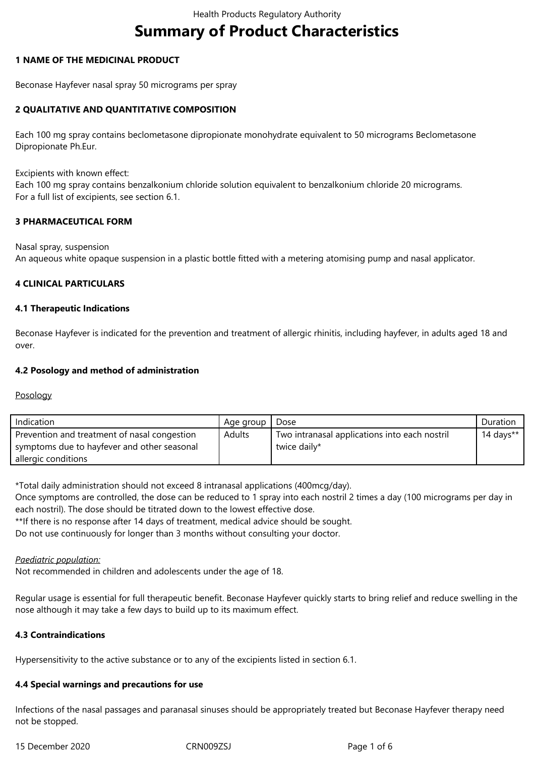# **Summary of Product Characteristics**

## **1 NAME OF THE MEDICINAL PRODUCT**

Beconase Hayfever nasal spray 50 micrograms per spray

## **2 QUALITATIVE AND QUANTITATIVE COMPOSITION**

Each 100 mg spray contains beclometasone dipropionate monohydrate equivalent to 50 micrograms Beclometasone Dipropionate Ph.Eur.

Excipients with known effect:

Each 100 mg spray contains benzalkonium chloride solution equivalent to benzalkonium chloride 20 micrograms. For a full list of excipients, see section 6.1.

### **3 PHARMACEUTICAL FORM**

Nasal spray, suspension An aqueous white opaque suspension in a plastic bottle fitted with a metering atomising pump and nasal applicator.

### **4 CLINICAL PARTICULARS**

### **4.1 Therapeutic Indications**

Beconase Hayfever is indicated for the prevention and treatment of allergic rhinitis, including hayfever, in adults aged 18 and over.

### **4.2 Posology and method of administration**

### Posology

| Indication                                   | Age group     | Dose                                          | Duration     |
|----------------------------------------------|---------------|-----------------------------------------------|--------------|
| Prevention and treatment of nasal congestion | <b>Adults</b> | Two intranasal applications into each nostril | 14 days $**$ |
| symptoms due to hayfever and other seasonal  |               | twice daily*                                  |              |
| allergic conditions                          |               |                                               |              |

\*Total daily administration should not exceed 8 intranasal applications (400mcg/day).

Once symptoms are controlled, the dose can be reduced to 1 spray into each nostril 2 times a day (100 micrograms per day in each nostril). The dose should be titrated down to the lowest effective dose.

\*\*If there is no response after 14 days of treatment, medical advice should be sought.

Do not use continuously for longer than 3 months without consulting your doctor.

### *Paediatric population:*

Not recommended in children and adolescents under the age of 18.

Regular usage is essential for full therapeutic benefit. Beconase Hayfever quickly starts to bring relief and reduce swelling in the nose although it may take a few days to build up to its maximum effect.

### **4.3 Contraindications**

Hypersensitivity to the active substance or to any of the excipients listed in section 6.1.

### **4.4 Special warnings and precautions for use**

Infections of the nasal passages and paranasal sinuses should be appropriately treated but Beconase Hayfever therapy need not be stopped.

15 December 2020 CRN009ZSJ Page 1 of 6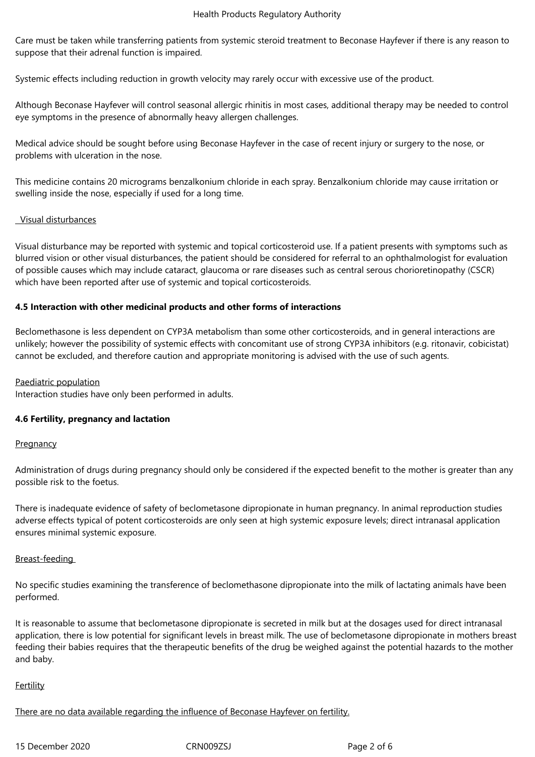Care must be taken while transferring patients from systemic steroid treatment to Beconase Hayfever if there is any reason to suppose that their adrenal function is impaired.

Systemic effects including reduction in growth velocity may rarely occur with excessive use of the product.

Although Beconase Hayfever will control seasonal allergic rhinitis in most cases, additional therapy may be needed to control eye symptoms in the presence of abnormally heavy allergen challenges.

Medical advice should be sought before using Beconase Hayfever in the case of recent injury or surgery to the nose, or problems with ulceration in the nose.

This medicine contains 20 micrograms benzalkonium chloride in each spray. Benzalkonium chloride may cause irritation or swelling inside the nose, especially if used for a long time.

## Visual disturbances

Visual disturbance may be reported with systemic and topical corticosteroid use. If a patient presents with symptoms such as blurred vision or other visual disturbances, the patient should be considered for referral to an ophthalmologist for evaluation of possible causes which may include cataract, glaucoma or rare diseases such as central serous chorioretinopathy (CSCR) which have been reported after use of systemic and topical corticosteroids.

## **4.5 Interaction with other medicinal products and other forms of interactions**

Beclomethasone is less dependent on CYP3A metabolism than some other corticosteroids, and in general interactions are unlikely; however the possibility of systemic effects with concomitant use of strong CYP3A inhibitors (e.g. ritonavir, cobicistat) cannot be excluded, and therefore caution and appropriate monitoring is advised with the use of such agents.

### Paediatric population

Interaction studies have only been performed in adults.

### **4.6 Fertility, pregnancy and lactation**

### **Pregnancy**

Administration of drugs during pregnancy should only be considered if the expected benefit to the mother is greater than any possible risk to the foetus.

There is inadequate evidence of safety of beclometasone dipropionate in human pregnancy. In animal reproduction studies adverse effects typical of potent corticosteroids are only seen at high systemic exposure levels; direct intranasal application ensures minimal systemic exposure.

### Breast-feeding

No specific studies examining the transference of beclomethasone dipropionate into the milk of lactating animals have been performed.

It is reasonable to assume that beclometasone dipropionate is secreted in milk but at the dosages used for direct intranasal application, there is low potential for significant levels in breast milk. The use of beclometasone dipropionate in mothers breast feeding their babies requires that the therapeutic benefits of the drug be weighed against the potential hazards to the mother and baby.

### **Fertility**

There are no data available regarding the influence of Beconase Hayfever on fertility.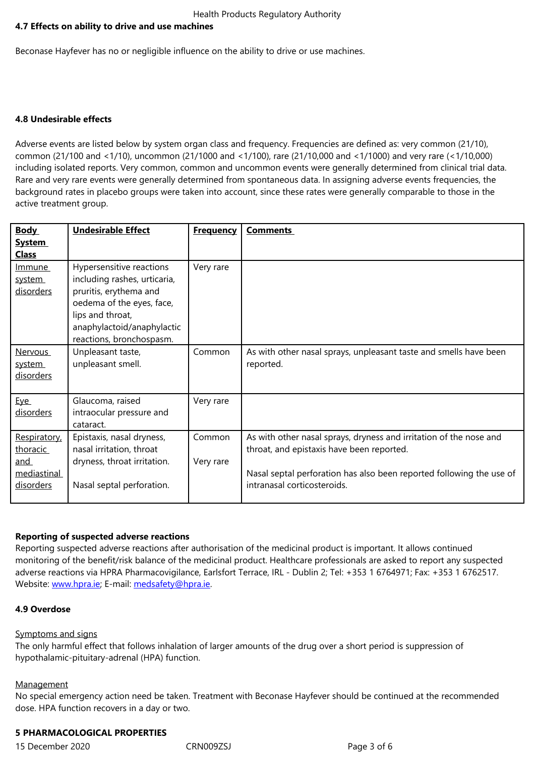Beconase Hayfever has no or negligible influence on the ability to drive or use machines.

### **4.8 Undesirable effects**

Adverse events are listed below by system organ class and frequency. Frequencies are defined as: very common (21/10), common (21/100 and <1/10), uncommon (21/1000 and <1/100), rare (21/10,000 and <1/1000) and very rare (<1/10,000) including isolated reports. Very common, common and uncommon events were generally determined from clinical trial data. Rare and very rare events were generally determined from spontaneous data. In assigning adverse events frequencies, the background rates in placebo groups were taken into account, since these rates were generally comparable to those in the active treatment group.

| <b>Body</b>                                                 | <b>Undesirable Effect</b>                                                                                                                                                                     | <b>Frequency</b>    | <b>Comments</b>                                                                                                                                                                                                        |
|-------------------------------------------------------------|-----------------------------------------------------------------------------------------------------------------------------------------------------------------------------------------------|---------------------|------------------------------------------------------------------------------------------------------------------------------------------------------------------------------------------------------------------------|
| <b>System</b><br><b>Class</b>                               |                                                                                                                                                                                               |                     |                                                                                                                                                                                                                        |
| Immune<br>system<br>disorders                               | Hypersensitive reactions<br>including rashes, urticaria,<br>pruritis, erythema and<br>oedema of the eyes, face,<br>lips and throat,<br>anaphylactoid/anaphylactic<br>reactions, bronchospasm. | Very rare           |                                                                                                                                                                                                                        |
| <b>Nervous</b><br>system<br>disorders                       | Unpleasant taste,<br>unpleasant smell.                                                                                                                                                        | Common              | As with other nasal sprays, unpleasant taste and smells have been<br>reported.                                                                                                                                         |
| <u>Eye</u><br>disorders                                     | Glaucoma, raised<br>intraocular pressure and<br>cataract.                                                                                                                                     | Very rare           |                                                                                                                                                                                                                        |
| Respiratory,<br>thoracic<br>and<br>mediastinal<br>disorders | Epistaxis, nasal dryness,<br>nasal irritation, throat<br>dryness, throat irritation.<br>Nasal septal perforation.                                                                             | Common<br>Very rare | As with other nasal sprays, dryness and irritation of the nose and<br>throat, and epistaxis have been reported.<br>Nasal septal perforation has also been reported following the use of<br>intranasal corticosteroids. |

### **Reporting of suspected adverse reactions**

Reporting suspected adverse reactions after authorisation of the medicinal product is important. It allows continued monitoring of the benefit/risk balance of the medicinal product. Healthcare professionals are asked to report any suspected adverse reactions via HPRA Pharmacovigilance, Earlsfort Terrace, IRL - Dublin 2; Tel: +353 1 6764971; Fax: +353 1 6762517. Website: www.hpra.ie; E-mail: medsafety@hpra.ie.

## **4.9 Overdose**

#### Sympto[ms and signs](http://www.hpra.ie/)

The only harmful effect that follows inhalation of larger amounts of the drug over a short period is suppression of hypothalamic-pituitary-adrenal (HPA) function.

#### **Management**

No special emergency action need be taken. Treatment with Beconase Hayfever should be continued at the recommended dose. HPA function recovers in a day or two.

#### **5 PHARMACOLOGICAL PROPERTIES**

15 December 2020 CRN009ZSJ Page 3 of 6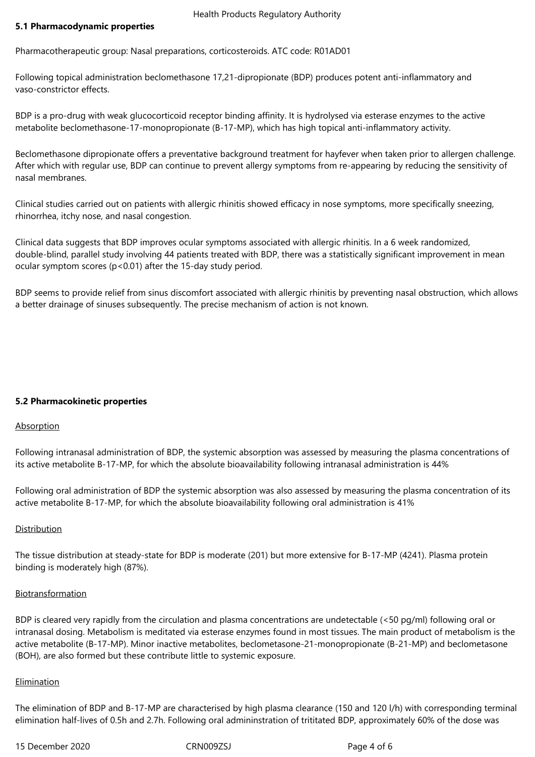### **5.1 Pharmacodynamic properties**

Pharmacotherapeutic group: Nasal preparations, corticosteroids. ATC code: R01AD01

Following topical administration beclomethasone 17,21-dipropionate (BDP) produces potent anti-inflammatory and vaso-constrictor effects.

BDP is a pro-drug with weak glucocorticoid receptor binding affinity. It is hydrolysed via esterase enzymes to the active metabolite beclomethasone-17-monopropionate (B-17-MP), which has high topical anti-inflammatory activity.

Beclomethasone dipropionate offers a preventative background treatment for hayfever when taken prior to allergen challenge. After which with regular use, BDP can continue to prevent allergy symptoms from re-appearing by reducing the sensitivity of nasal membranes.

Clinical studies carried out on patients with allergic rhinitis showed efficacy in nose symptoms, more specifically sneezing, rhinorrhea, itchy nose, and nasal congestion.

Clinical data suggests that BDP improves ocular symptoms associated with allergic rhinitis. In a 6 week randomized, double-blind, parallel study involving 44 patients treated with BDP, there was a statistically significant improvement in mean ocular symptom scores (p<0.01) after the 15-day study period.

BDP seems to provide relief from sinus discomfort associated with allergic rhinitis by preventing nasal obstruction, which allows a better drainage of sinuses subsequently. The precise mechanism of action is not known.

### **5.2 Pharmacokinetic properties**

### **Absorption**

Following intranasal administration of BDP, the systemic absorption was assessed by measuring the plasma concentrations of its active metabolite B-17-MP, for which the absolute bioavailability following intranasal administration is 44%

Following oral administration of BDP the systemic absorption was also assessed by measuring the plasma concentration of its active metabolite B-17-MP, for which the absolute bioavailability following oral administration is 41%

### Distribution

The tissue distribution at steady-state for BDP is moderate (201) but more extensive for B-17-MP (4241). Plasma protein binding is moderately high (87%).

### Biotransformation

BDP is cleared very rapidly from the circulation and plasma concentrations are undetectable (<50 pg/ml) following oral or intranasal dosing. Metabolism is meditated via esterase enzymes found in most tissues. The main product of metabolism is the active metabolite (B-17-MP). Minor inactive metabolites, beclometasone-21-monopropionate (B-21-MP) and beclometasone (BOH), are also formed but these contribute little to systemic exposure.

#### **Elimination**

The elimination of BDP and B-17-MP are characterised by high plasma clearance (150 and 120 l/h) with corresponding terminal elimination half-lives of 0.5h and 2.7h. Following oral admininstration of trititated BDP, approximately 60% of the dose was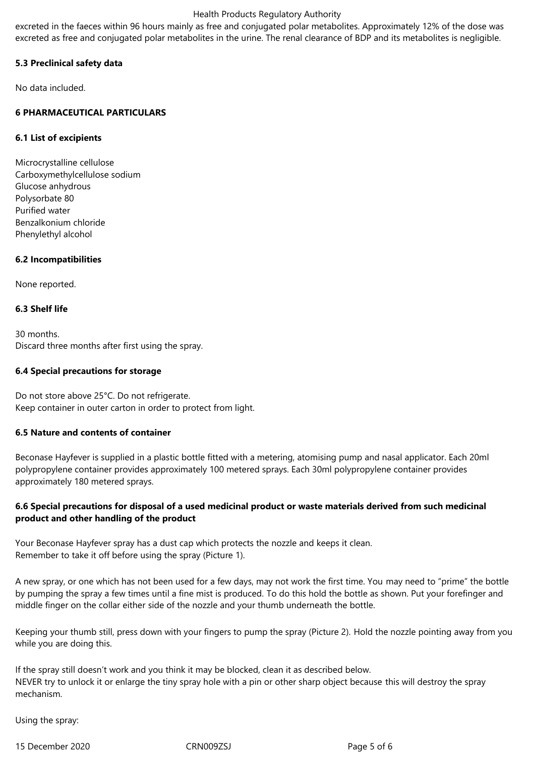#### Health Products Regulatory Authority

excreted in the faeces within 96 hours mainly as free and conjugated polar metabolites. Approximately 12% of the dose was excreted as free and conjugated polar metabolites in the urine. The renal clearance of BDP and its metabolites is negligible.

# **5.3 Preclinical safety data**

No data included.

# **6 PHARMACEUTICAL PARTICULARS**

## **6.1 List of excipients**

Microcrystalline cellulose Carboxymethylcellulose sodium Glucose anhydrous Polysorbate 80 Purified water Benzalkonium chloride Phenylethyl alcohol

## **6.2 Incompatibilities**

None reported.

### **6.3 Shelf life**

30 months. Discard three months after first using the spray.

### **6.4 Special precautions for storage**

Do not store above 25°C. Do not refrigerate. Keep container in outer carton in order to protect from light.

## **6.5 Nature and contents of container**

Beconase Hayfever is supplied in a plastic bottle fitted with a metering, atomising pump and nasal applicator. Each 20ml polypropylene container provides approximately 100 metered sprays. Each 30ml polypropylene container provides approximately 180 metered sprays.

## **6.6 Special precautions for disposal of a used medicinal product or waste materials derived from such medicinal product and other handling of the product**

Your Beconase Hayfever spray has a dust cap which protects the nozzle and keeps it clean. Remember to take it off before using the spray (Picture 1).

A new spray, or one which has not been used for a few days, may not work the first time. You may need to "prime" the bottle by pumping the spray a few times until a fine mist is produced. To do this hold the bottle as shown. Put your forefinger and middle finger on the collar either side of the nozzle and your thumb underneath the bottle.

Keeping your thumb still, press down with your fingers to pump the spray (Picture 2). Hold the nozzle pointing away from you while you are doing this.

If the spray still doesn't work and you think it may be blocked, clean it as described below. NEVER try to unlock it or enlarge the tiny spray hole with a pin or other sharp object because this will destroy the spray mechanism.

Using the spray:

15 December 2020 CRN009ZSJ Page 5 of 6